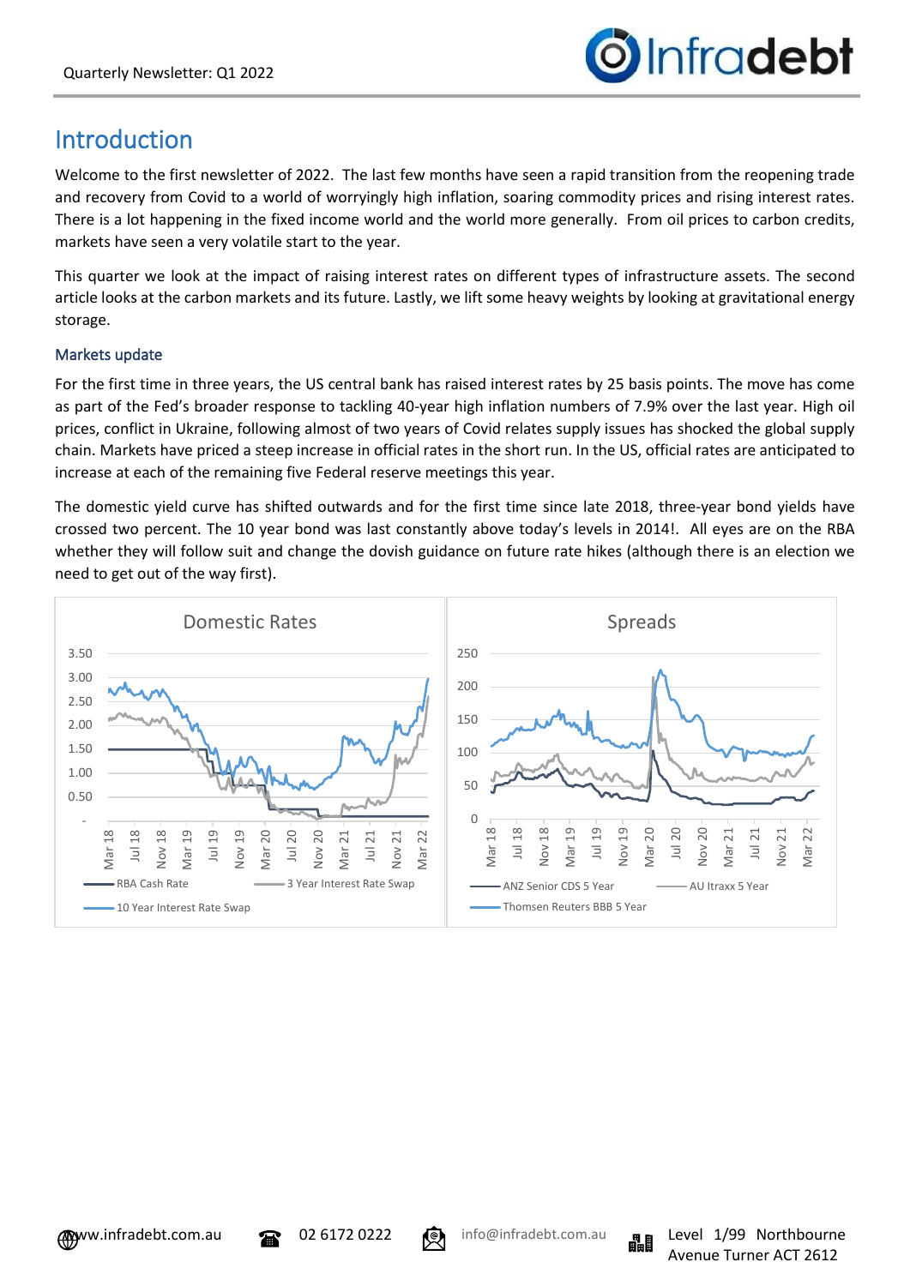

## Introduction

Welcome to the first newsletter of 2022. The last few months have seen a rapid transition from the reopening trade and recovery from Covid to a world of worryingly high inflation, soaring commodity prices and rising interest rates. There is a lot happening in the fixed income world and the world more generally. From oil prices to carbon credits, markets have seen a very volatile start to the year.

This quarter we look at the impact of raising interest rates on different types of infrastructure assets. The second article looks at the carbon markets and its future. Lastly, we lift some heavy weights by looking at gravitational energy storage.

### Markets update

For the first time in three years, the US central bank has raised interest rates by 25 basis points. The move has come as part of the Fed's broader response to tackling 40-year high inflation numbers of 7.9% over the last year. High oil prices, conflict in Ukraine, following almost of two years of Covid relates supply issues has shocked the global supply chain. Markets have priced a steep increase in official rates in the short run. In the US, official rates are anticipated to increase at each of the remaining five Federal reserve meetings this year.

The domestic yield curve has shifted outwards and for the first time since late 2018, three-year bond yields have crossed two percent. The 10 year bond was last constantly above today's levels in 2014!. All eyes are on the RBA whether they will follow suit and change the dovish guidance on future rate hikes (although there is an election we need to get out of the way first).



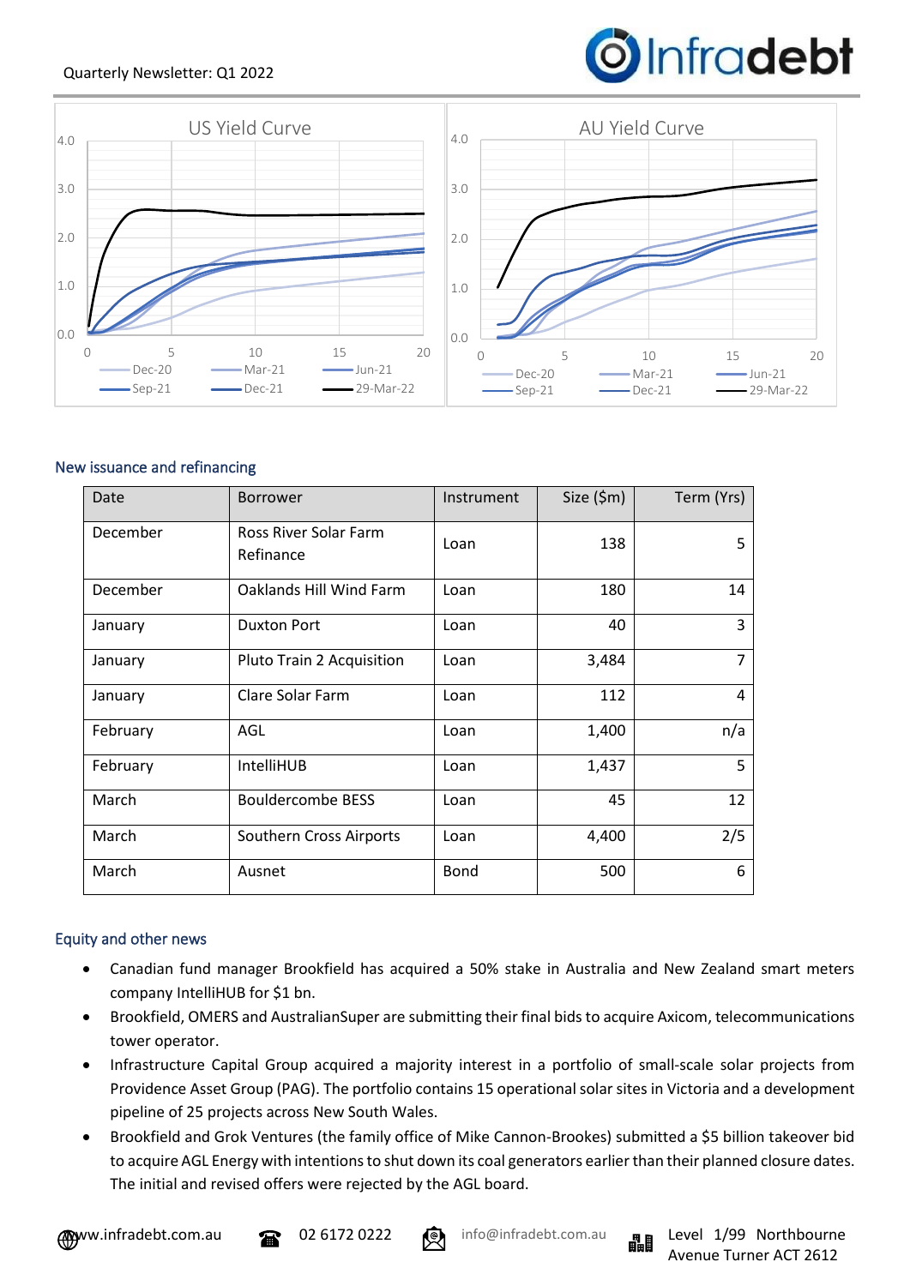### Quarterly Newsletter: Q1 2022



#### New issuance and refinancing

| Date     | <b>Borrower</b>                    | Instrument  | Size $(\$m)$ | Term (Yrs)     |
|----------|------------------------------------|-------------|--------------|----------------|
| December | Ross River Solar Farm<br>Refinance | Loan        | 138          | 5              |
| December | Oaklands Hill Wind Farm            | Loan        | 180          | 14             |
| January  | <b>Duxton Port</b>                 | Loan        | 40           | 3              |
| January  | Pluto Train 2 Acquisition          | Loan        | 3,484        | $\overline{7}$ |
| January  | Clare Solar Farm                   | Loan        | 112          | 4              |
| February | AGL                                | Loan        | 1,400        | n/a            |
| February | <b>IntelliHUB</b>                  | Loan        | 1,437        | 5              |
| March    | <b>Bouldercombe BESS</b>           | Loan        | 45           | 12             |
| March    | <b>Southern Cross Airports</b>     | Loan        | 4,400        | 2/5            |
| March    | Ausnet                             | <b>Bond</b> | 500          | 6              |

#### Equity and other news

- Canadian fund manager Brookfield has acquired a 50% stake in Australia and New Zealand smart meters company IntelliHUB for \$1 bn.
- Brookfield, OMERS and AustralianSuper are submitting their final bids to acquire Axicom, telecommunications tower operator.
- Infrastructure Capital Group acquired a majority interest in a portfolio of small-scale solar projects from Providence Asset Group (PAG). The portfolio contains 15 operational solar sites in Victoria and a development pipeline of 25 projects across New South Wales.
- Brookfield and Grok Ventures (the family office of Mike Cannon-Brookes) submitted a \$5 billion takeover bid to acquire AGL Energy with intentions to shut down its coal generators earlier than their planned closure dates. The initial and revised offers were rejected by the AGL board.







**O**Infradebt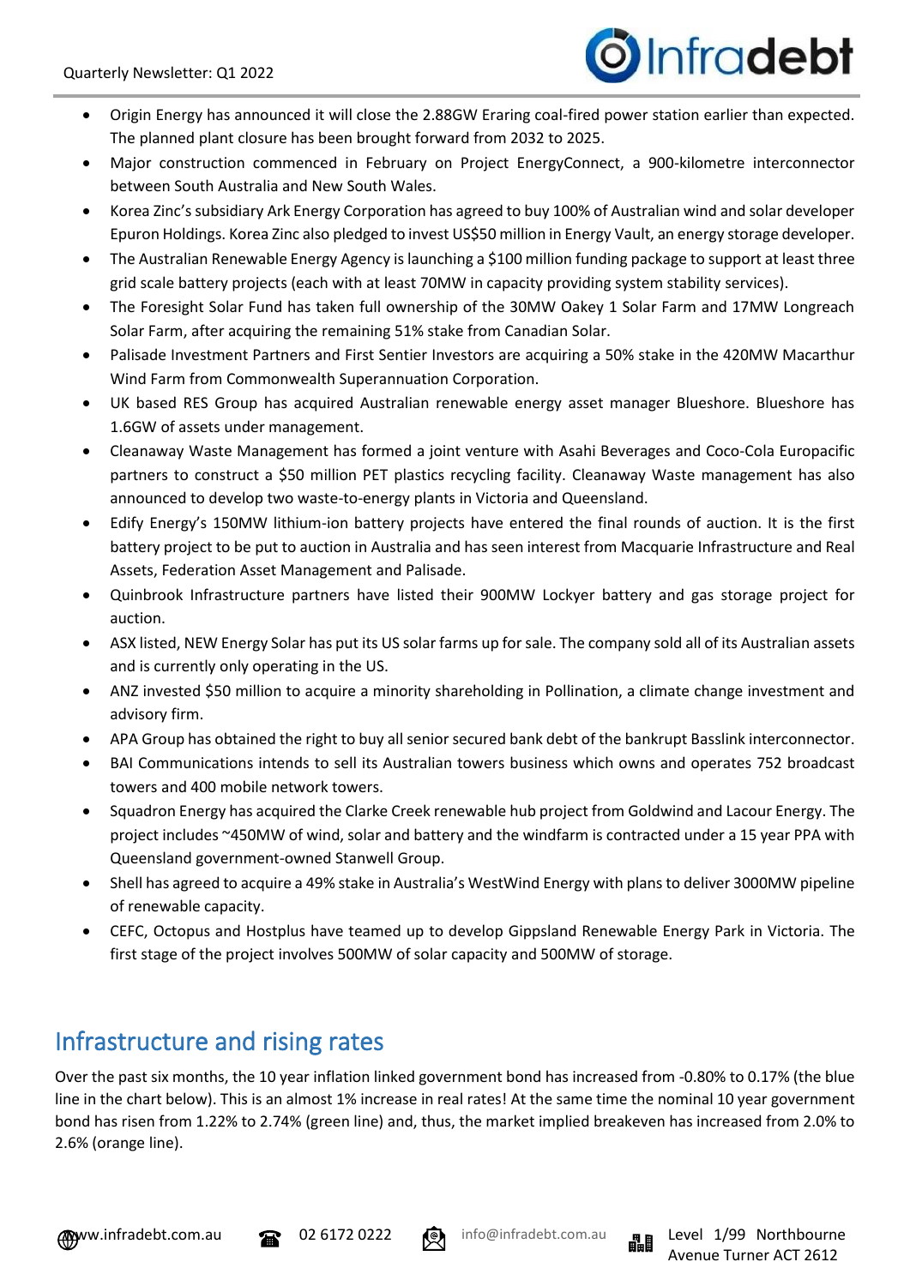

- Origin Energy has announced it will close the 2.88GW Eraring coal-fired power station earlier than expected. The planned plant closure has been brought forward from 2032 to 2025.
- Major construction commenced in February on Project EnergyConnect, a 900-kilometre interconnector between South Australia and New South Wales.
- Korea Zinc's subsidiary Ark Energy Corporation has agreed to buy 100% of Australian wind and solar developer Epuron Holdings. Korea Zinc also pledged to invest US\$50 million in Energy Vault, an energy storage developer.
- The Australian Renewable Energy Agency is launching a \$100 million funding package to support at least three grid scale battery projects (each with at least 70MW in capacity providing system stability services).
- The Foresight Solar Fund has taken full ownership of the 30MW Oakey 1 Solar Farm and 17MW Longreach Solar Farm, after acquiring the remaining 51% stake from Canadian Solar.
- Palisade Investment Partners and First Sentier Investors are acquiring a 50% stake in the 420MW Macarthur Wind Farm from Commonwealth Superannuation Corporation.
- UK based RES Group has acquired Australian renewable energy asset manager Blueshore. Blueshore has 1.6GW of assets under management.
- Cleanaway Waste Management has formed a joint venture with Asahi Beverages and Coco-Cola Europacific partners to construct a \$50 million PET plastics recycling facility. Cleanaway Waste management has also announced to develop two waste-to-energy plants in Victoria and Queensland.
- Edify Energy's 150MW lithium-ion battery projects have entered the final rounds of auction. It is the first battery project to be put to auction in Australia and has seen interest from Macquarie Infrastructure and Real Assets, Federation Asset Management and Palisade.
- Quinbrook Infrastructure partners have listed their 900MW Lockyer battery and gas storage project for auction.
- ASX listed, NEW Energy Solar has put its US solar farms up for sale. The company sold all of its Australian assets and is currently only operating in the US.
- ANZ invested \$50 million to acquire a minority shareholding in Pollination, a climate change investment and advisory firm.
- APA Group has obtained the right to buy all senior secured bank debt of the bankrupt Basslink interconnector.
- BAI Communications intends to sell its Australian towers business which owns and operates 752 broadcast towers and 400 mobile network towers.
- Squadron Energy has acquired the Clarke Creek renewable hub project from Goldwind and Lacour Energy. The project includes ~450MW of wind, solar and battery and the windfarm is contracted under a 15 year PPA with Queensland government-owned Stanwell Group.
- Shell has agreed to acquire a 49% stake in Australia's WestWind Energy with plans to deliver 3000MW pipeline of renewable capacity.
- CEFC, Octopus and Hostplus have teamed up to develop Gippsland Renewable Energy Park in Victoria. The first stage of the project involves 500MW of solar capacity and 500MW of storage.

## Infrastructure and rising rates

Over the past six months, the 10 year inflation linked government bond has increased from -0.80% to 0.17% (the blue line in the chart below). This is an almost 1% increase in real rates! At the same time the nominal 10 year government bond has risen from 1.22% to 2.74% (green line) and, thus, the market implied breakeven has increased from 2.0% to 2.6% (orange line).





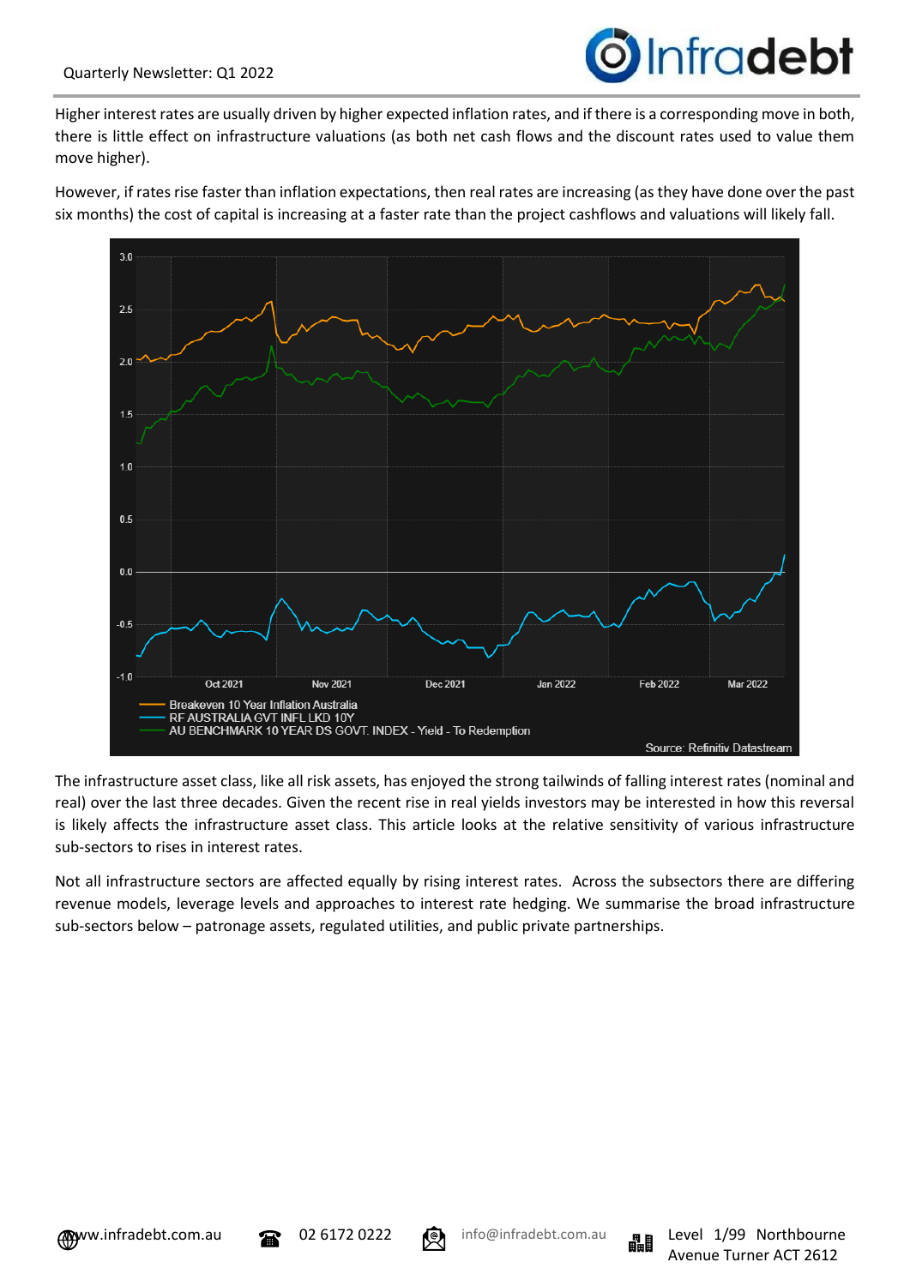

Higher interest rates are usually driven by higher expected inflation rates, and if there is a corresponding move in both, there is little effect on infrastructure valuations (as both net cash flows and the discount rates used to value them move higher).

However, if rates rise faster than inflation expectations, then real rates are increasing (as they have done over the past six months) the cost of capital is increasing at a faster rate than the project cashflows and valuations will likely fall.



The infrastructure asset class, like all risk assets, has enjoyed the strong tailwinds of falling interest rates (nominal and real) over the last three decades. Given the recent rise in real yields investors may be interested in how this reversal is likely affects the infrastructure asset class. This article looks at the relative sensitivity of various infrastructure sub-sectors to rises in interest rates.

Not all infrastructure sectors are affected equally by rising interest rates. Across the subsectors there are differing revenue models, leverage levels and approaches to interest rate hedging. We summarise the broad infrastructure sub-sectors below – patronage assets, regulated utilities, and public private partnerships.



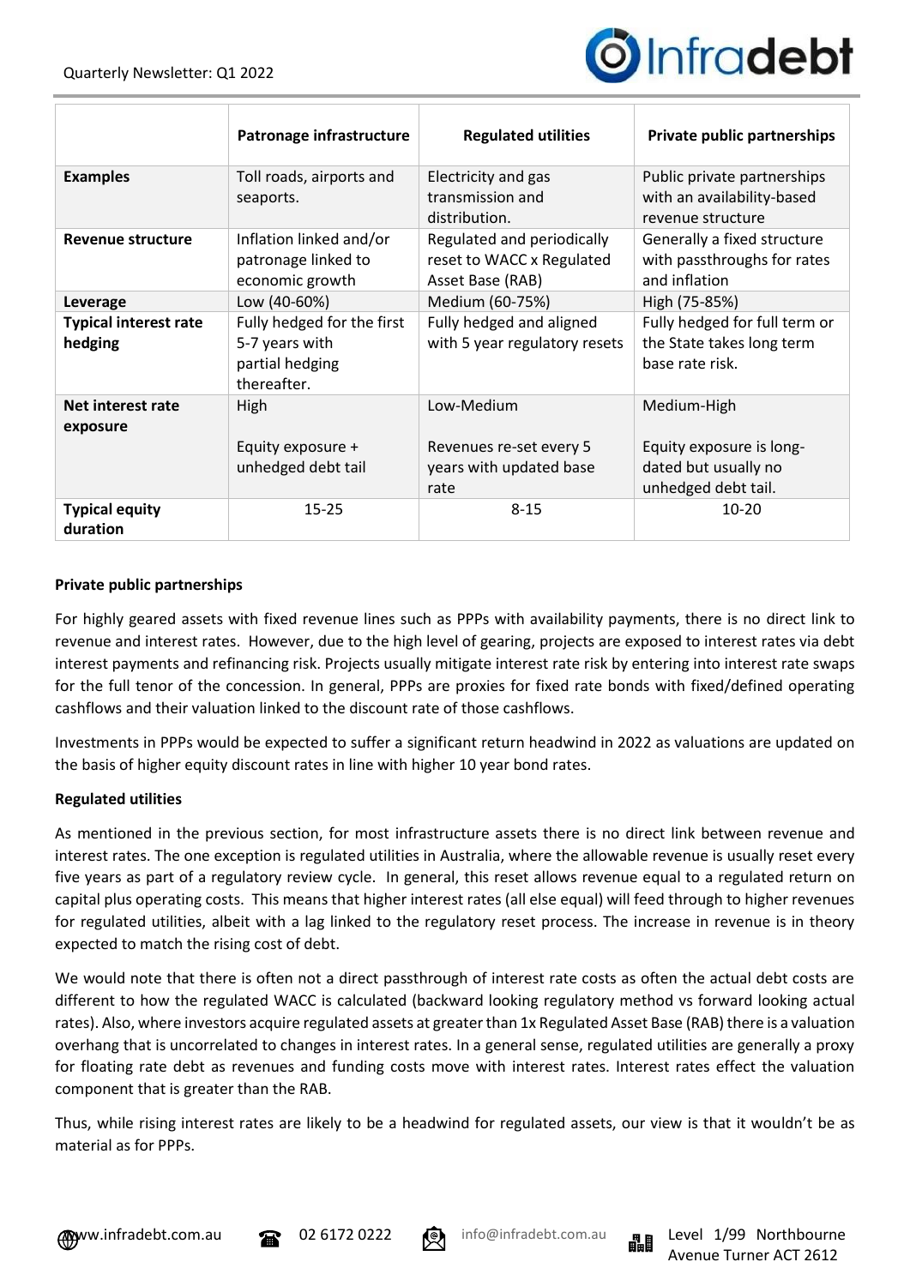

|                                         | Patronage infrastructure                                                       | <b>Regulated utilities</b>                                                  | Private public partnerships                                                            |
|-----------------------------------------|--------------------------------------------------------------------------------|-----------------------------------------------------------------------------|----------------------------------------------------------------------------------------|
| <b>Examples</b>                         | Toll roads, airports and<br>seaports.                                          | Electricity and gas<br>transmission and<br>distribution.                    | Public private partnerships<br>with an availability-based<br>revenue structure         |
| <b>Revenue structure</b>                | Inflation linked and/or<br>patronage linked to<br>economic growth              | Regulated and periodically<br>reset to WACC x Regulated<br>Asset Base (RAB) | Generally a fixed structure<br>with passthroughs for rates<br>and inflation            |
| Leverage                                | Low (40-60%)                                                                   | Medium (60-75%)                                                             | High (75-85%)                                                                          |
| <b>Typical interest rate</b><br>hedging | Fully hedged for the first<br>5-7 years with<br>partial hedging<br>thereafter. | Fully hedged and aligned<br>with 5 year regulatory resets                   | Fully hedged for full term or<br>the State takes long term<br>base rate risk.          |
| Net interest rate<br>exposure           | High<br>Equity exposure +<br>unhedged debt tail                                | Low-Medium<br>Revenues re-set every 5<br>years with updated base<br>rate    | Medium-High<br>Equity exposure is long-<br>dated but usually no<br>unhedged debt tail. |
| <b>Typical equity</b><br>duration       | $15 - 25$                                                                      | $8 - 15$                                                                    | $10 - 20$                                                                              |

### **Private public partnerships**

For highly geared assets with fixed revenue lines such as PPPs with availability payments, there is no direct link to revenue and interest rates. However, due to the high level of gearing, projects are exposed to interest rates via debt interest payments and refinancing risk. Projects usually mitigate interest rate risk by entering into interest rate swaps for the full tenor of the concession. In general, PPPs are proxies for fixed rate bonds with fixed/defined operating cashflows and their valuation linked to the discount rate of those cashflows.

Investments in PPPs would be expected to suffer a significant return headwind in 2022 as valuations are updated on the basis of higher equity discount rates in line with higher 10 year bond rates.

#### **Regulated utilities**

As mentioned in the previous section, for most infrastructure assets there is no direct link between revenue and interest rates. The one exception is regulated utilities in Australia, where the allowable revenue is usually reset every five years as part of a regulatory review cycle. In general, this reset allows revenue equal to a regulated return on capital plus operating costs. This means that higher interest rates (all else equal) will feed through to higher revenues for regulated utilities, albeit with a lag linked to the regulatory reset process. The increase in revenue is in theory expected to match the rising cost of debt.

We would note that there is often not a direct passthrough of interest rate costs as often the actual debt costs are different to how the regulated WACC is calculated (backward looking regulatory method vs forward looking actual rates). Also, where investors acquire regulated assets at greater than 1x Regulated Asset Base (RAB) there is a valuation overhang that is uncorrelated to changes in interest rates. In a general sense, regulated utilities are generally a proxy for floating rate debt as revenues and funding costs move with interest rates. Interest rates effect the valuation component that is greater than the RAB.

Thus, while rising interest rates are likely to be a headwind for regulated assets, our view is that it wouldn't be as material as for PPPs.





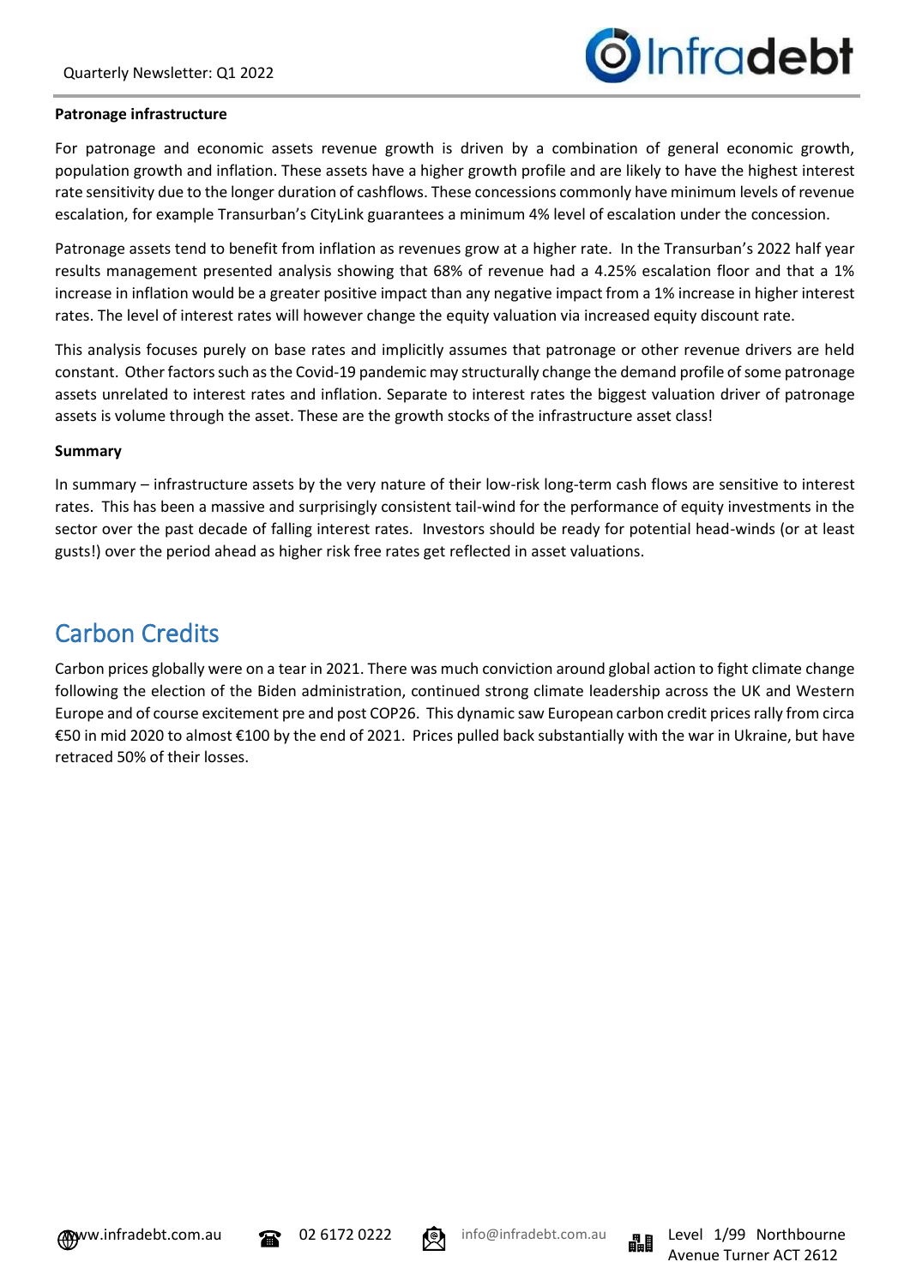

#### **Patronage infrastructure**

For patronage and economic assets revenue growth is driven by a combination of general economic growth, population growth and inflation. These assets have a higher growth profile and are likely to have the highest interest rate sensitivity due to the longer duration of cashflows. These concessions commonly have minimum levels of revenue escalation, for example Transurban's CityLink guarantees a minimum 4% level of escalation under the concession.

Patronage assets tend to benefit from inflation as revenues grow at a higher rate. In the Transurban's 2022 half year results management presented analysis showing that 68% of revenue had a 4.25% escalation floor and that a 1% increase in inflation would be a greater positive impact than any negative impact from a 1% increase in higher interest rates. The level of interest rates will however change the equity valuation via increased equity discount rate.

This analysis focuses purely on base rates and implicitly assumes that patronage or other revenue drivers are held constant. Other factors such as the Covid-19 pandemic may structurally change the demand profile of some patronage assets unrelated to interest rates and inflation. Separate to interest rates the biggest valuation driver of patronage assets is volume through the asset. These are the growth stocks of the infrastructure asset class!

#### **Summary**

In summary – infrastructure assets by the very nature of their low-risk long-term cash flows are sensitive to interest rates. This has been a massive and surprisingly consistent tail-wind for the performance of equity investments in the sector over the past decade of falling interest rates. Investors should be ready for potential head-winds (or at least gusts!) over the period ahead as higher risk free rates get reflected in asset valuations.

## Carbon Credits

Carbon prices globally were on a tear in 2021. There was much conviction around global action to fight climate change following the election of the Biden administration, continued strong climate leadership across the UK and Western Europe and of course excitement pre and post COP26. This dynamic saw European carbon credit prices rally from circa €50 in mid 2020 to almost €100 by the end of 2021. Prices pulled back substantially with the war in Ukraine, but have retraced 50% of their losses.



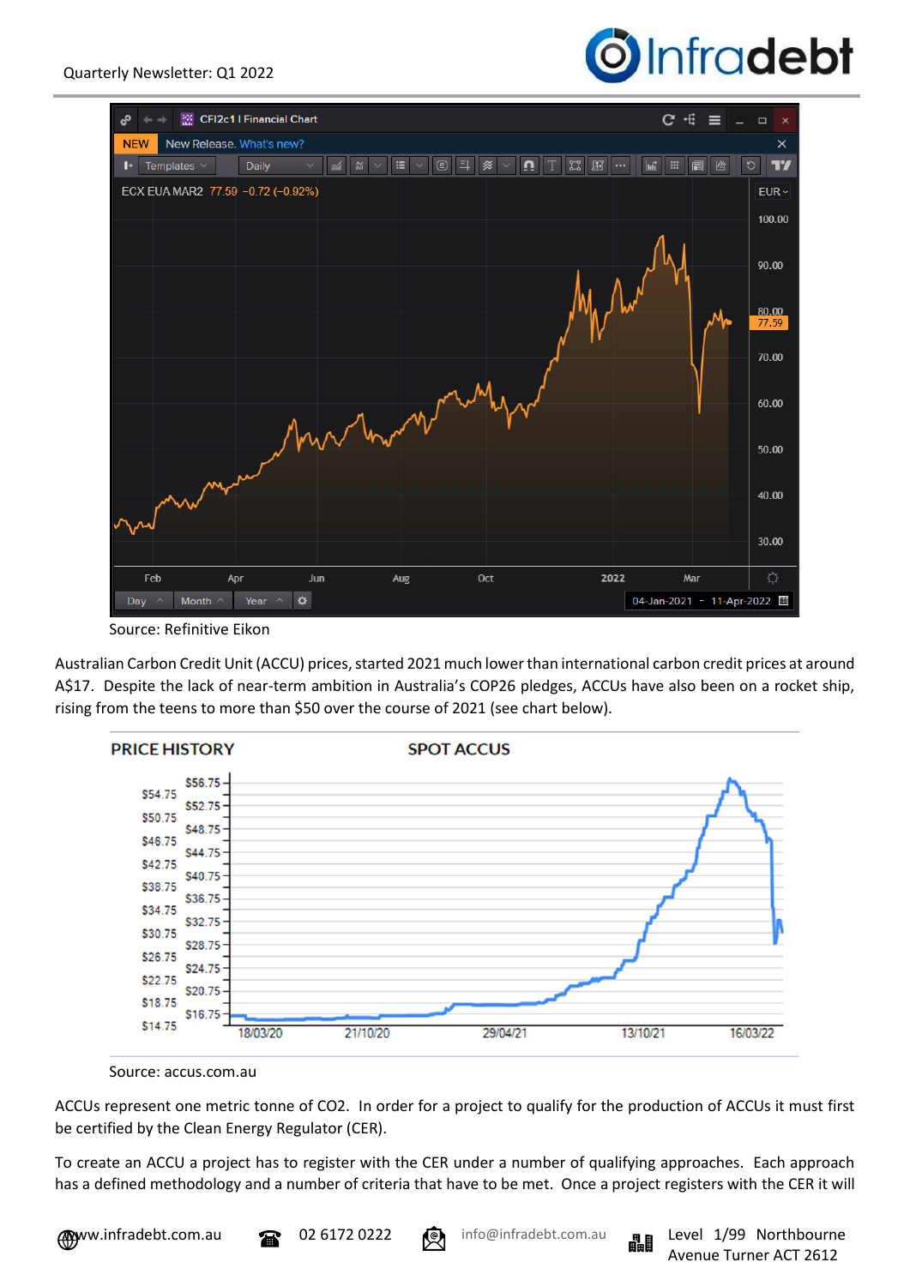



Source: Refinitive Eikon

Australian Carbon Credit Unit (ACCU) prices, started 2021 much lower than international carbon credit prices at around A\$17. Despite the lack of near-term ambition in Australia's COP26 pledges, ACCUs have also been on a rocket ship, rising from the teens to more than \$50 over the course of 2021 (see chart below).



Source: accus.com.au

ACCUs represent one metric tonne of CO2. In order for a project to qualify for the production of ACCUs it must first be certified by the Clean Energy Regulator (CER).

To create an ACCU a project has to register with the CER under a number of qualifying approaches. Each approach has a defined methodology and a number of criteria that have to be met. Once a project registers with the CER it will



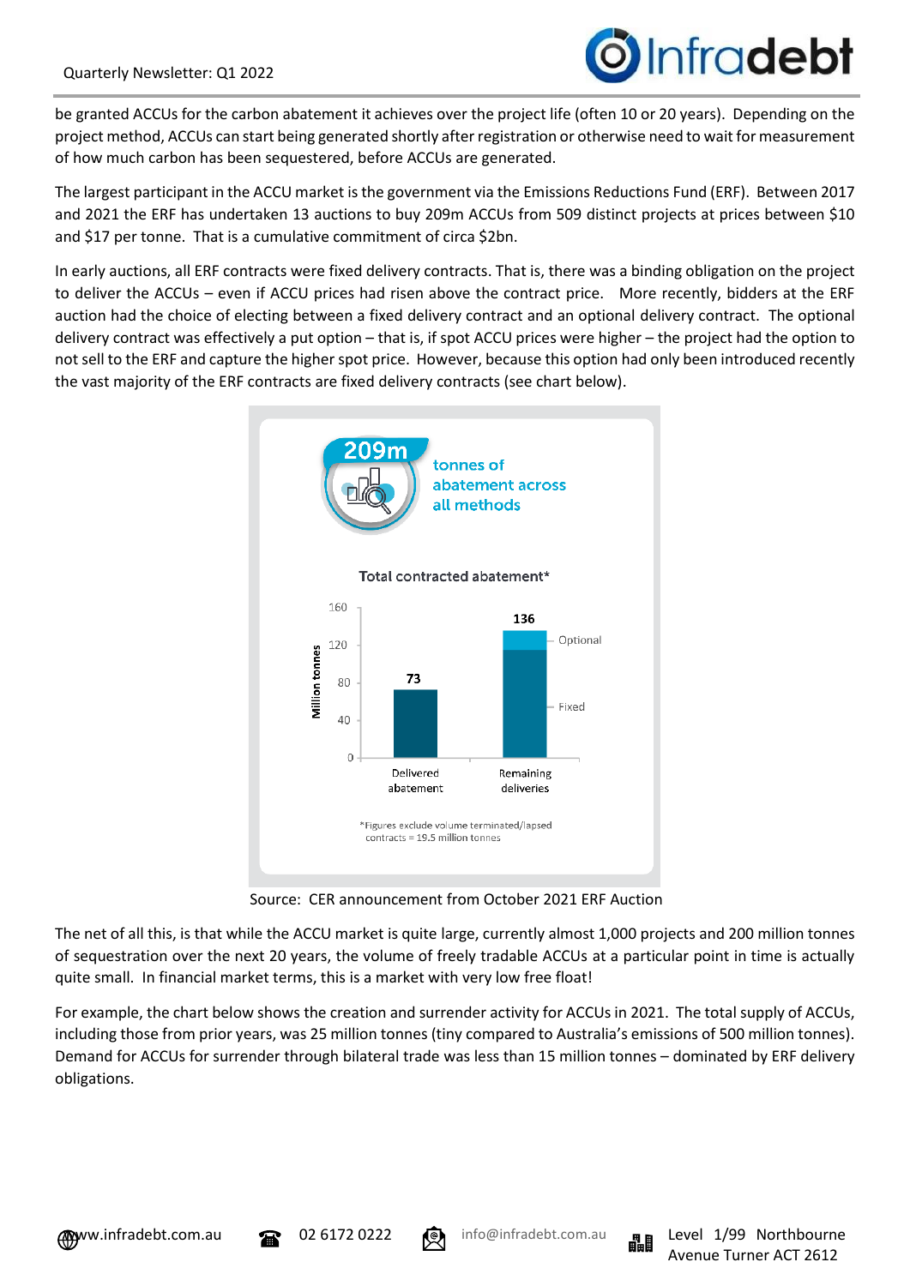

be granted ACCUs for the carbon abatement it achieves over the project life (often 10 or 20 years). Depending on the project method, ACCUs can start being generated shortly after registration or otherwise need to wait for measurement of how much carbon has been sequestered, before ACCUs are generated.

The largest participant in the ACCU market is the government via the Emissions Reductions Fund (ERF). Between 2017 and 2021 the ERF has undertaken 13 auctions to buy 209m ACCUs from 509 distinct projects at prices between \$10 and \$17 per tonne. That is a cumulative commitment of circa \$2bn.

In early auctions, all ERF contracts were fixed delivery contracts. That is, there was a binding obligation on the project to deliver the ACCUs – even if ACCU prices had risen above the contract price. More recently, bidders at the ERF auction had the choice of electing between a fixed delivery contract and an optional delivery contract. The optional delivery contract was effectively a put option – that is, if spot ACCU prices were higher – the project had the option to not sell to the ERF and capture the higher spot price. However, because this option had only been introduced recently the vast majority of the ERF contracts are fixed delivery contracts (see chart below).



Source: CER announcement from October 2021 ERF Auction

The net of all this, is that while the ACCU market is quite large, currently almost 1,000 projects and 200 million tonnes of sequestration over the next 20 years, the volume of freely tradable ACCUs at a particular point in time is actually quite small. In financial market terms, this is a market with very low free float!

For example, the chart below shows the creation and surrender activity for ACCUs in 2021. The total supply of ACCUs, including those from prior years, was 25 million tonnes (tiny compared to Australia's emissions of 500 million tonnes). Demand for ACCUs for surrender through bilateral trade was less than 15 million tonnes – dominated by ERF delivery obligations.



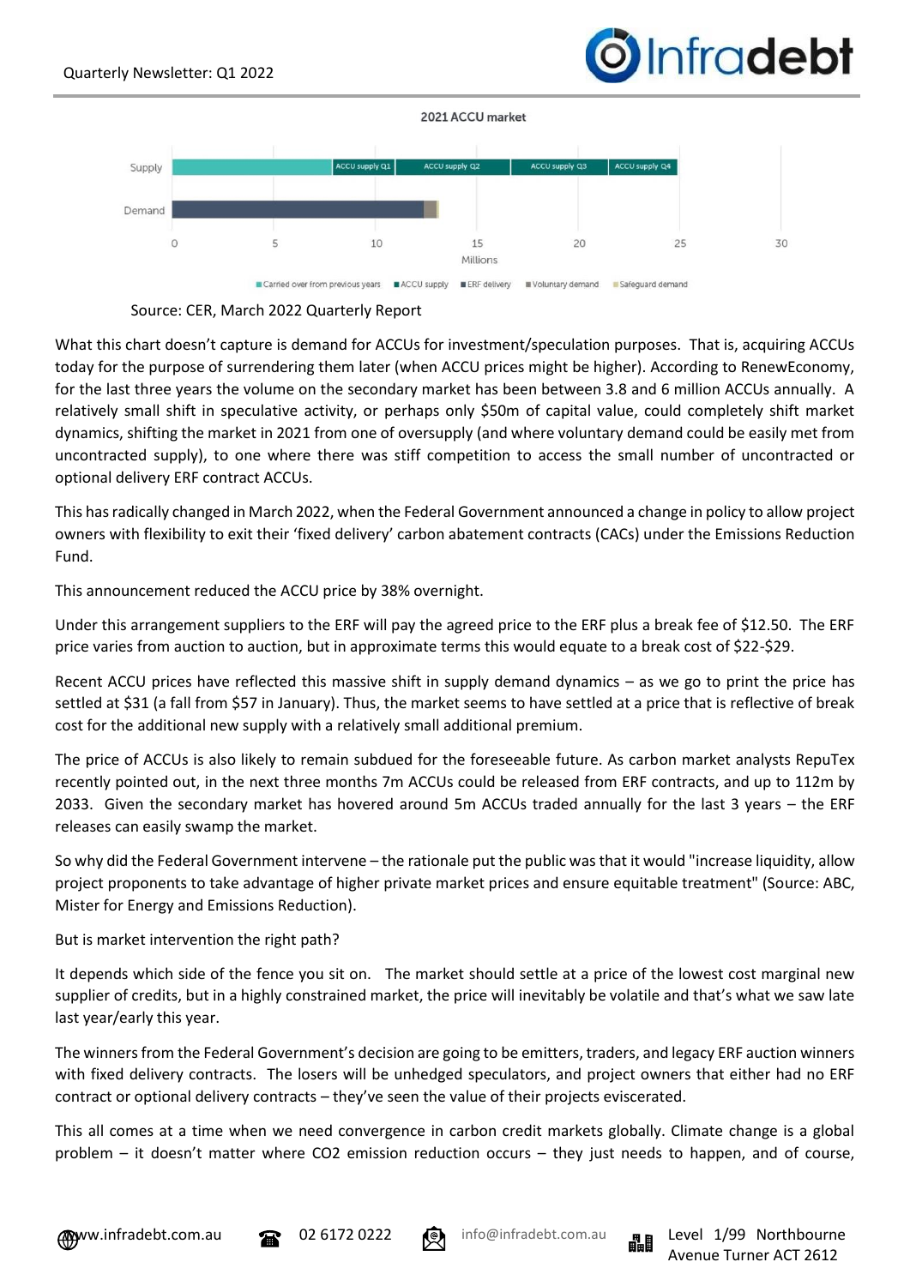# Infradebt

#### 2021 ACCU market



#### Source: CER, March 2022 Quarterly Report

What this chart doesn't capture is demand for ACCUs for investment/speculation purposes. That is, acquiring ACCUs today for the purpose of surrendering them later (when ACCU prices might be higher). According to RenewEconomy, for the last three years the volume on the secondary market has been between 3.8 and 6 million ACCUs annually. A relatively small shift in speculative activity, or perhaps only \$50m of capital value, could completely shift market dynamics, shifting the market in 2021 from one of oversupply (and where voluntary demand could be easily met from uncontracted supply), to one where there was stiff competition to access the small number of uncontracted or optional delivery ERF contract ACCUs.

This has radically changed in March 2022, when the Federal Government announced a change in policy to allow project owners with flexibility to exit their 'fixed delivery' carbon abatement contracts (CACs) under the Emissions Reduction Fund.

This announcement reduced the ACCU price by 38% overnight.

Under this arrangement suppliers to the ERF will pay the agreed price to the ERF plus a break fee of \$12.50. The ERF price varies from auction to auction, but in approximate terms this would equate to a break cost of \$22-\$29.

Recent ACCU prices have reflected this massive shift in supply demand dynamics – as we go to print the price has settled at \$31 (a fall from \$57 in January). Thus, the market seems to have settled at a price that is reflective of break cost for the additional new supply with a relatively small additional premium.

The price of ACCUs is also likely to remain subdued for the foreseeable future. As carbon market analysts RepuTex recently pointed out, in the next three months 7m ACCUs could be released from ERF contracts, and up to 112m by 2033. Given the secondary market has hovered around 5m ACCUs traded annually for the last 3 years – the ERF releases can easily swamp the market.

So why did the Federal Government intervene – the rationale put the public was that it would "increase liquidity, allow project proponents to take advantage of higher private market prices and ensure equitable treatment" (Source: ABC, Mister for Energy and Emissions Reduction).

But is market intervention the right path?

It depends which side of the fence you sit on. The market should settle at a price of the lowest cost marginal new supplier of credits, but in a highly constrained market, the price will inevitably be volatile and that's what we saw late last year/early this year.

The winners from the Federal Government's decision are going to be emitters, traders, and legacy ERF auction winners with fixed delivery contracts. The losers will be unhedged speculators, and project owners that either had no ERF contract or optional delivery contracts – they've seen the value of their projects eviscerated.

This all comes at a time when we need convergence in carbon credit markets globally. Climate change is a global problem – it doesn't matter where CO2 emission reduction occurs – they just needs to happen, and of course,





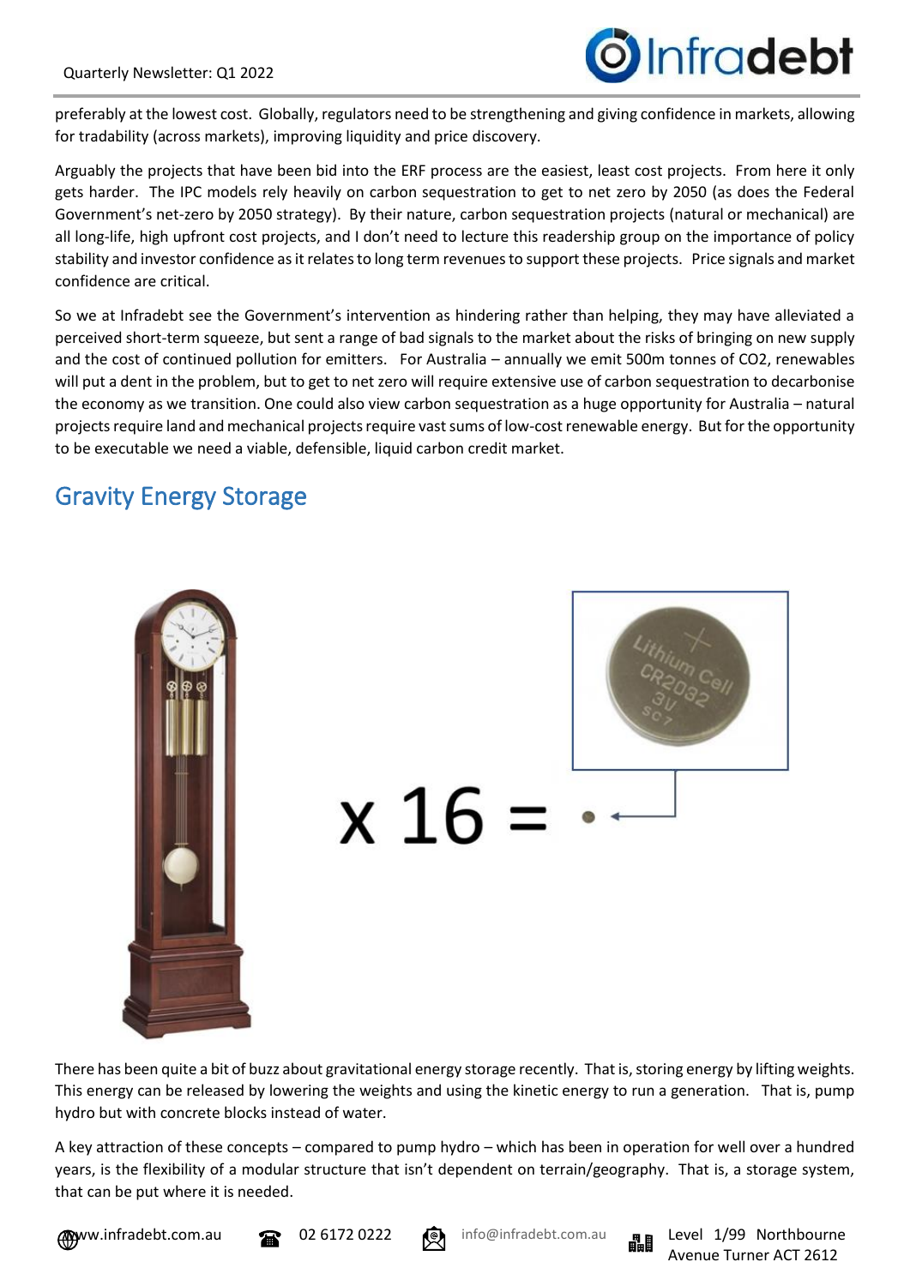

preferably at the lowest cost. Globally, regulators need to be strengthening and giving confidence in markets, allowing for tradability (across markets), improving liquidity and price discovery.

Arguably the projects that have been bid into the ERF process are the easiest, least cost projects. From here it only gets harder. The IPC models rely heavily on carbon sequestration to get to net zero by 2050 (as does the Federal Government's net-zero by 2050 strategy). By their nature, carbon sequestration projects (natural or mechanical) are all long-life, high upfront cost projects, and I don't need to lecture this readership group on the importance of policy stability and investor confidence as it relates to long term revenues to support these projects. Price signals and market confidence are critical.

So we at Infradebt see the Government's intervention as hindering rather than helping, they may have alleviated a perceived short-term squeeze, but sent a range of bad signals to the market about the risks of bringing on new supply and the cost of continued pollution for emitters. For Australia – annually we emit 500m tonnes of CO2, renewables will put a dent in the problem, but to get to net zero will require extensive use of carbon sequestration to decarbonise the economy as we transition. One could also view carbon sequestration as a huge opportunity for Australia – natural projects require land and mechanical projects require vast sums of low-cost renewable energy. But for the opportunity to be executable we need a viable, defensible, liquid carbon credit market.

## Gravity Energy Storage





There has been quite a bit of buzz about gravitational energy storage recently. That is, storing energy by lifting weights. This energy can be released by lowering the weights and using the kinetic energy to run a generation. That is, pump hydro but with concrete blocks instead of water.

A key attraction of these concepts – compared to pump hydro – which has been in operation for well over a hundred years, is the flexibility of a modular structure that isn't dependent on terrain/geography. That is, a storage system, that can be put where it is needed.

**Myww.infradebt.com.au 22 02 6172 0222** (@ info@infradebt.com.au night Level 1/99 Northbourne







Avenue Turner ACT 2612